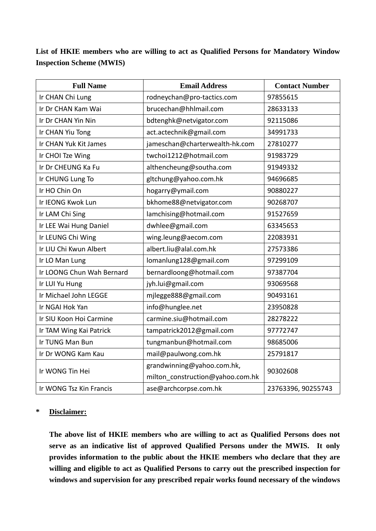**List of HKIE members who are willing to act as Qualified Persons for Mandatory Window Inspection Scheme (MWIS)** 

| <b>Full Name</b>          | <b>Email Address</b>             | <b>Contact Number</b> |
|---------------------------|----------------------------------|-----------------------|
| Ir CHAN Chi Lung          | rodneychan@pro-tactics.com       | 97855615              |
| Ir Dr CHAN Kam Wai        | brucechan@hhlmail.com            | 28633133              |
| Ir Dr CHAN Yin Nin        | bdtenghk@netvigator.com          | 92115086              |
| Ir CHAN Yiu Tong          | act.actechnik@gmail.com          | 34991733              |
| Ir CHAN Yuk Kit James     | jameschan@charterwealth-hk.com   | 27810277              |
| Ir CHOI Tze Wing          | twchoi1212@hotmail.com           | 91983729              |
| Ir Dr CHEUNG Ka Fu        | althencheung@southa.com          | 91949332              |
| Ir CHUNG Lung To          | gltchung@yahoo.com.hk            | 94696685              |
| Ir HO Chin On             | hogarry@ymail.com                | 90880227              |
| Ir IEONG Kwok Lun         | bkhome88@netvigator.com          | 90268707              |
| Ir LAM Chi Sing           | lamchising@hotmail.com           | 91527659              |
| Ir LEE Wai Hung Daniel    | dwhlee@gmail.com                 | 63345653              |
| Ir LEUNG Chi Wing         | wing.leung@aecom.com             | 22083931              |
| Ir LIU Chi Kwun Albert    | albert.liu@alal.com.hk           | 27573386              |
| Ir LO Man Lung            | lomanlung128@gmail.com           | 97299109              |
| Ir LOONG Chun Wah Bernard | bernardloong@hotmail.com         | 97387704              |
| Ir LUI Yu Hung            | jyh.lui@gmail.com                | 93069568              |
| Ir Michael John LEGGE     | mjlegge888@gmail.com             | 90493161              |
| Ir NGAI Hok Yan           | info@hunglee.net                 | 23950828              |
| Ir SIU Koon Hoi Carmine   | carmine.siu@hotmail.com          | 28278222              |
| Ir TAM Wing Kai Patrick   | tampatrick2012@gmail.com         | 97772747              |
| Ir TUNG Man Bun           | tungmanbun@hotmail.com           | 98685006              |
| Ir Dr WONG Kam Kau        | mail@paulwong.com.hk             | 25791817              |
| Ir WONG Tin Hei           | grandwinning@yahoo.com.hk,       | 90302608              |
|                           | milton construction@yahoo.com.hk |                       |
| Ir WONG Tsz Kin Francis   | ase@archcorpse.com.hk            | 23763396, 90255743    |

## **\* Disclaimer:**

**The above list of HKIE members who are willing to act as Qualified Persons does not serve as an indicative list of approved Qualified Persons under the MWIS. It only provides information to the public about the HKIE members who declare that they are willing and eligible to act as Qualified Persons to carry out the prescribed inspection for windows and supervision for any prescribed repair works found necessary of the windows**